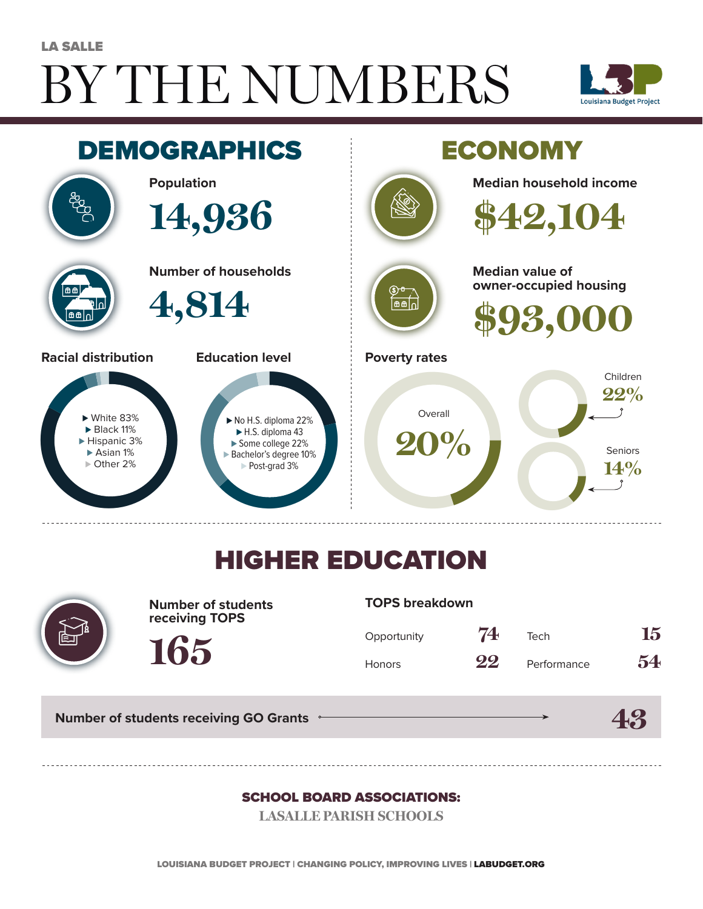# BY THE NUMBERS LA SALLE





## HIGHER EDUCATION



**Number of students receiving TOPS**

#### **TOPS breakdown**

| Opportunity   | 74 | Tech        | 15 |
|---------------|----|-------------|----|
| <b>Honors</b> | 22 | Performance | 54 |

**43**

**Number of students receiving GO Grants**

**165**

#### SCHOOL BOARD ASSOCIATIONS:

**LASALLE PARISH SCHOOLS**